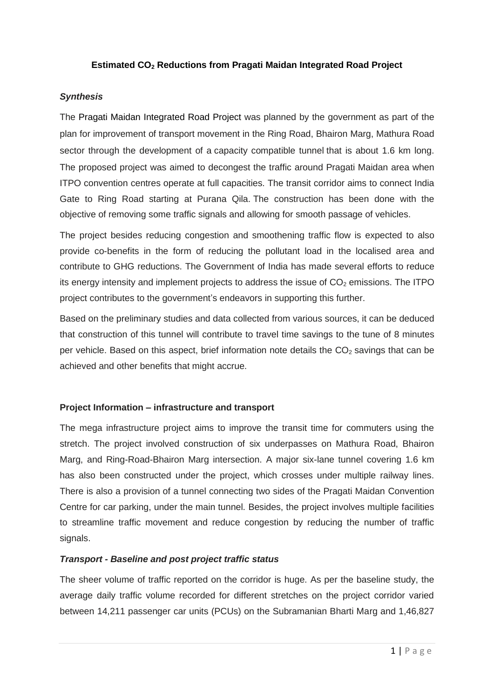## **Estimated CO<sup>2</sup> Reductions from Pragati Maidan Integrated Road Project**

## *Synthesis*

The Pragati Maidan Integrated Road Project was planned by the government as part of the plan for improvement of transport movement in the Ring Road, Bhairon Marg, Mathura Road sector through the development of a capacity compatible tunnel that is about 1.6 km long. The proposed project was aimed to decongest the traffic around Pragati Maidan area when ITPO convention centres operate at full capacities. The transit corridor aims to connect India Gate to Ring Road starting at Purana Qila. The construction has been done with the objective of removing some traffic signals and allowing for smooth passage of vehicles.

The project besides reducing congestion and smoothening traffic flow is expected to also provide co-benefits in the form of reducing the pollutant load in the localised area and contribute to GHG reductions. The Government of India has made several efforts to reduce its energy intensity and implement projects to address the issue of  $CO<sub>2</sub>$  emissions. The ITPO project contributes to the government's endeavors in supporting this further.

Based on the preliminary studies and data collected from various sources, it can be deduced that construction of this tunnel will contribute to travel time savings to the tune of 8 minutes per vehicle. Based on this aspect, brief information note details the  $CO<sub>2</sub>$  savings that can be achieved and other benefits that might accrue.

#### **Project Information – infrastructure and transport**

The mega infrastructure project aims to improve the transit time for commuters using the stretch. The project involved construction of six underpasses on Mathura Road, Bhairon Marg, and Ring-Road-Bhairon Marg intersection. A major six-lane tunnel covering 1.6 km has also been constructed under the project, which crosses under multiple railway lines. There is also a provision of a tunnel connecting two sides of the Pragati Maidan Convention Centre for car parking, under the main tunnel. Besides, the project involves multiple facilities to streamline traffic movement and reduce congestion by reducing the number of traffic signals.

#### *Transport - Baseline and post project traffic status*

The sheer volume of traffic reported on the corridor is huge. As per the baseline study, the average daily traffic volume recorded for different stretches on the project corridor varied between 14,211 passenger car units (PCUs) on the Subramanian Bharti Marg and 1,46,827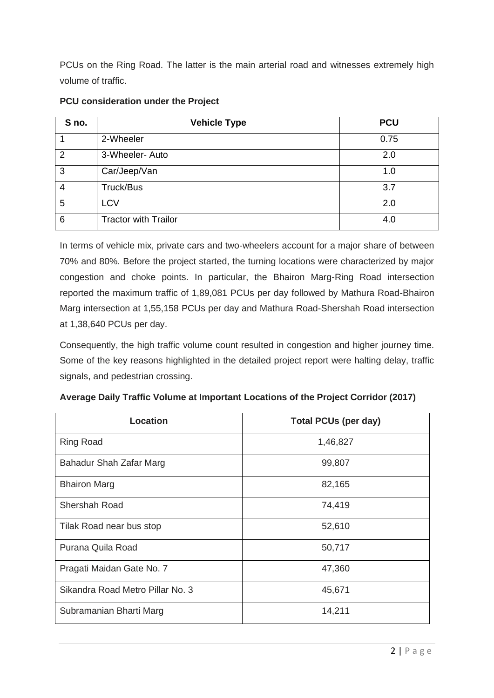PCUs on the Ring Road. The latter is the main arterial road and witnesses extremely high volume of traffic.

| S no.          | <b>Vehicle Type</b>         | <b>PCU</b> |
|----------------|-----------------------------|------------|
|                | 2-Wheeler                   | 0.75       |
| $\overline{2}$ | 3-Wheeler- Auto             | 2.0        |
| 3              | Car/Jeep/Van                | 1.0        |
| 4              | Truck/Bus                   | 3.7        |
| 5              | <b>LCV</b>                  | 2.0        |
| 6              | <b>Tractor with Trailor</b> | 4.0        |

# **PCU consideration under the Project**

In terms of vehicle mix, private cars and two-wheelers account for a major share of between 70% and 80%. Before the project started, the turning locations were characterized by major congestion and choke points. In particular, the Bhairon Marg-Ring Road intersection reported the maximum traffic of 1,89,081 PCUs per day followed by Mathura Road-Bhairon Marg intersection at 1,55,158 PCUs per day and Mathura Road-Shershah Road intersection at 1,38,640 PCUs per day.

Consequently, the high traffic volume count resulted in congestion and higher journey time. Some of the key reasons highlighted in the detailed project report were halting delay, traffic signals, and pedestrian crossing.

| Location                         | <b>Total PCUs (per day)</b> |  |  |
|----------------------------------|-----------------------------|--|--|
| <b>Ring Road</b>                 | 1,46,827                    |  |  |
| Bahadur Shah Zafar Marg          | 99,807                      |  |  |
| <b>Bhairon Marg</b>              | 82,165                      |  |  |
| <b>Shershah Road</b>             | 74,419                      |  |  |
| Tilak Road near bus stop         | 52,610                      |  |  |
| Purana Quila Road                | 50,717                      |  |  |
| Pragati Maidan Gate No. 7        | 47,360                      |  |  |
| Sikandra Road Metro Pillar No. 3 | 45,671                      |  |  |
| Subramanian Bharti Marg          | 14,211                      |  |  |

|  |  | Average Daily Traffic Volume at Important Locations of the Project Corridor (2017) |  |  |  |
|--|--|------------------------------------------------------------------------------------|--|--|--|
|--|--|------------------------------------------------------------------------------------|--|--|--|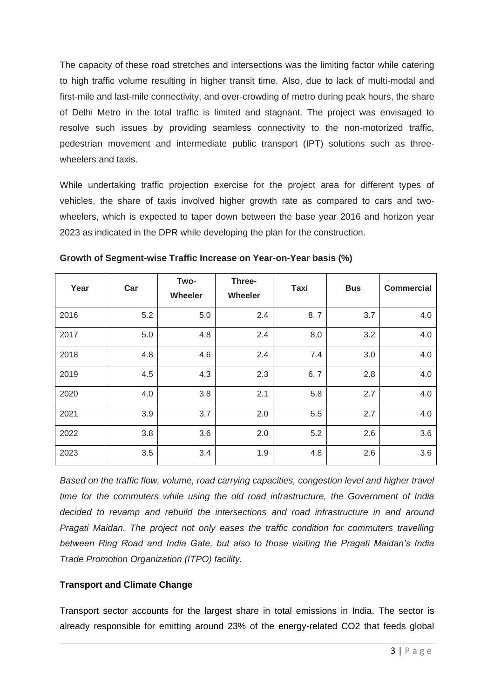The capacity of these road stretches and intersections was the limiting factor while catering to high traffic volume resulting in higher transit time. Also, due to lack of multi-modal and first-mile and last-mile connectivity, and over-crowding of metro during peak hours, the share of Delhi Metro in the total traffic is limited and stagnant. The project was envisaged to resolve such issues by providing seamless connectivity to the non-motorized traffic, pedestrian movement and intermediate public transport (IPT) solutions such as threewheelers and taxis.

While undertaking traffic projection exercise for the project area for different types of vehicles, the share of taxis involved higher growth rate as compared to cars and twowheelers, which is expected to taper down between the base year 2016 and horizon year 2023 as indicated in the DPR while developing the plan for the construction.

| Year | Car | Two-<br>Wheeler | Three-<br>Wheeler | Taxi | <b>Bus</b> | <b>Commercial</b> |
|------|-----|-----------------|-------------------|------|------------|-------------------|
| 2016 | 5.2 | 5.0             | 2.4               | 8.7  | 3.7        | 4.0               |
| 2017 | 5.0 | 4.8             | 2.4               | 8.0  | 3.2        | 4.0               |
| 2018 | 4.8 | 4.6             | 2.4               | 7.4  | 3.0        | 4.0               |
| 2019 | 4.5 | 4.3             | 2.3               | 6.7  | 2.8        | 4.0               |
| 2020 | 4.0 | 3.8             | 2.1               | 5.8  | 2.7        | 4.0               |
| 2021 | 3.9 | 3.7             | 2.0               | 5.5  | 2.7        | 4.0               |
| 2022 | 3.8 | 3.6             | 2.0               | 5.2  | 2.6        | 3.6               |
| 2023 | 3.5 | 3.4             | 1.9               | 4.8  | 2.6        | 3.6               |

**Growth of Segment-wise Traffic Increase on Year-on-Year basis (%)**

*Based on the traffic flow, volume, road carrying capacities, congestion level and higher travel time for the commuters while using the old road infrastructure, the Government of India decided to revamp and rebuild the intersections and road infrastructure in and around Pragati Maidan. The project not only eases the traffic condition for commuters travelling between Ring Road and India Gate, but also to those visiting the Pragati Maidan's India Trade Promotion Organization (ITPO) facility.* 

# **Transport and Climate Change**

Transport sector accounts for the largest share in total emissions in India. The sector is already responsible for emitting around 23% of the energy-related CO2 that feeds global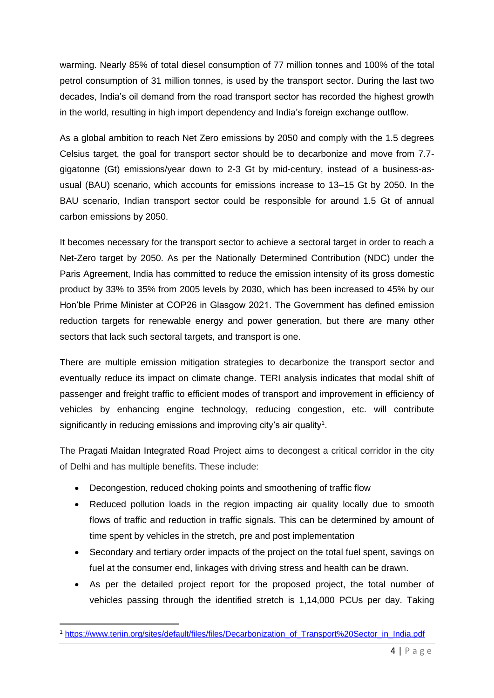warming. Nearly 85% of total diesel consumption of 77 million tonnes and 100% of the total petrol consumption of 31 million tonnes, is used by the transport sector. During the last two decades, India's oil demand from the road transport sector has recorded the highest growth in the world, resulting in high import dependency and India's foreign exchange outflow.

As a global ambition to reach Net Zero emissions by 2050 and comply with the 1.5 degrees Celsius target, the goal for transport sector should be to decarbonize and move from 7.7 gigatonne (Gt) emissions/year down to 2-3 Gt by mid-century, instead of a business-asusual (BAU) scenario, which accounts for emissions increase to 13–15 Gt by 2050. In the BAU scenario, Indian transport sector could be responsible for around 1.5 Gt of annual carbon emissions by 2050.

It becomes necessary for the transport sector to achieve a sectoral target in order to reach a Net-Zero target by 2050. As per the Nationally Determined Contribution (NDC) under the Paris Agreement, India has committed to reduce the emission intensity of its gross domestic product by 33% to 35% from 2005 levels by 2030, which has been increased to 45% by our Hon'ble Prime Minister at COP26 in Glasgow 2021. The Government has defined emission reduction targets for renewable energy and power generation, but there are many other sectors that lack such sectoral targets, and transport is one.

There are multiple emission mitigation strategies to decarbonize the transport sector and eventually reduce its impact on climate change. TERI analysis indicates that modal shift of passenger and freight traffic to efficient modes of transport and improvement in efficiency of vehicles by enhancing engine technology, reducing congestion, etc. will contribute significantly in reducing emissions and improving city's air quality<sup>1</sup>.

The Pragati Maidan Integrated Road Project aims to decongest a critical corridor in the city of Delhi and has multiple benefits. These include:

- Decongestion, reduced choking points and smoothening of traffic flow
- Reduced pollution loads in the region impacting air quality locally due to smooth flows of traffic and reduction in traffic signals. This can be determined by amount of time spent by vehicles in the stretch, pre and post implementation
- Secondary and tertiary order impacts of the project on the total fuel spent, savings on fuel at the consumer end, linkages with driving stress and health can be drawn.
- As per the detailed project report for the proposed project, the total number of vehicles passing through the identified stretch is 1,14,000 PCUs per day. Taking

<sup>1</sup> [https://www.teriin.org/sites/default/files/files/Decarbonization\\_of\\_Transport%20Sector\\_in\\_India.pdf](https://www.teriin.org/sites/default/files/files/Decarbonization_of_Transport%20Sector_in_India.pdf)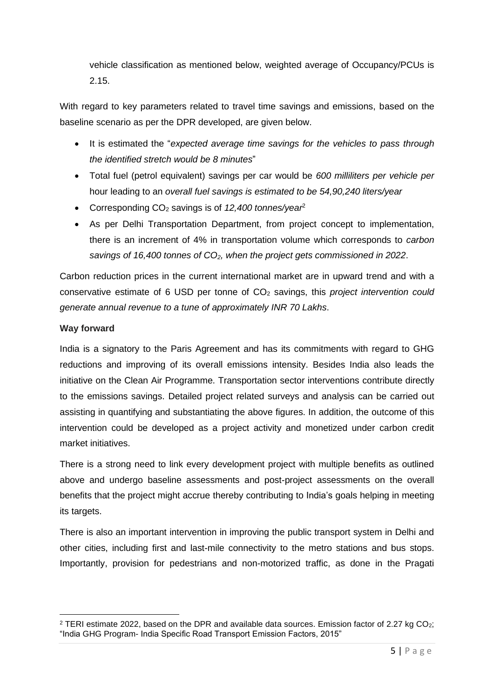vehicle classification as mentioned below, weighted average of Occupancy/PCUs is 2.15.

With regard to key parameters related to travel time savings and emissions, based on the baseline scenario as per the DPR developed, are given below.

- It is estimated the "*expected average time savings for the vehicles to pass through the identified stretch would be 8 minutes*"
- Total fuel (petrol equivalent) savings per car would be *600 milliliters per vehicle per* hour leading to an *overall fuel savings is estimated to be 54,90,240 liters/year*
- Corresponding CO<sup>2</sup> savings is of *12,400 tonnes/year*<sup>2</sup>
- As per Delhi Transportation Department, from project concept to implementation, there is an increment of 4% in transportation volume which corresponds to *carbon savings of 16,400 tonnes of CO2, when the project gets commissioned in 2022*.

Carbon reduction prices in the current international market are in upward trend and with a conservative estimate of 6 USD per tonne of CO<sup>2</sup> savings, this *project intervention could generate annual revenue to a tune of approximately INR 70 Lakhs*.

# **Way forward**

India is a signatory to the Paris Agreement and has its commitments with regard to GHG reductions and improving of its overall emissions intensity. Besides India also leads the initiative on the Clean Air Programme. Transportation sector interventions contribute directly to the emissions savings. Detailed project related surveys and analysis can be carried out assisting in quantifying and substantiating the above figures. In addition, the outcome of this intervention could be developed as a project activity and monetized under carbon credit market initiatives.

There is a strong need to link every development project with multiple benefits as outlined above and undergo baseline assessments and post-project assessments on the overall benefits that the project might accrue thereby contributing to India's goals helping in meeting its targets.

There is also an important intervention in improving the public transport system in Delhi and other cities, including first and last-mile connectivity to the metro stations and bus stops. Importantly, provision for pedestrians and non-motorized traffic, as done in the Pragati

<sup>&</sup>lt;sup>2</sup> TERI estimate 2022, based on the DPR and available data sources. Emission factor of 2.27 kg CO<sub>2</sub>; "India GHG Program- India Specific Road Transport Emission Factors, 2015"